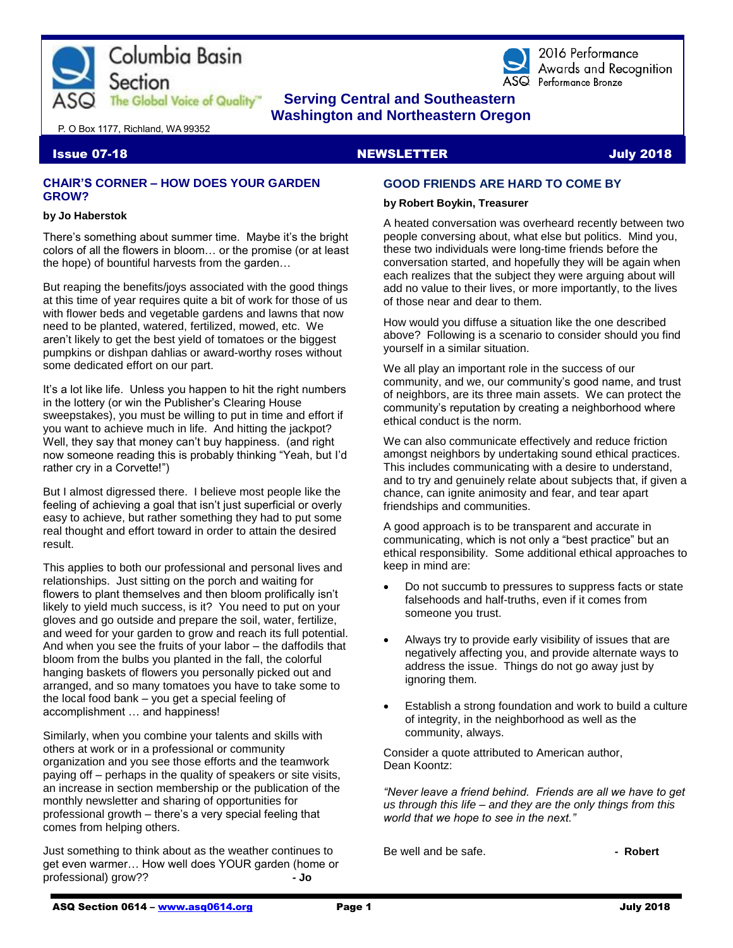



2016 Performance Awards and Recognition ASQ Performance Bronze

# **The Global Voice of Quality Serving Central and Southeastern Washington and Northeastern Oregon**

P. O Box 1177, Richland, WA 99352

## **Issue 07-18 NEWSLETTER AND STATE OF A SEXUAL EXAMPLE TERM** ISSUE AND INTEREST AND INTEREST OF A SUBSET OF A SUBSIDI

#### **CHAIR'S CORNER – HOW DOES YOUR GARDEN GROW?**

#### **by Jo Haberstok**

There's something about summer time. Maybe it's the bright colors of all the flowers in bloom… or the promise (or at least the hope) of bountiful harvests from the garden…

But reaping the benefits/joys associated with the good things at this time of year requires quite a bit of work for those of us with flower beds and vegetable gardens and lawns that now need to be planted, watered, fertilized, mowed, etc. We aren't likely to get the best yield of tomatoes or the biggest pumpkins or dishpan dahlias or award-worthy roses without some dedicated effort on our part.

It's a lot like life. Unless you happen to hit the right numbers in the lottery (or win the Publisher's Clearing House sweepstakes), you must be willing to put in time and effort if you want to achieve much in life. And hitting the jackpot? Well, they say that money can't buy happiness. (and right now someone reading this is probably thinking "Yeah, but I'd rather cry in a Corvette!")

But I almost digressed there. I believe most people like the feeling of achieving a goal that isn't just superficial or overly easy to achieve, but rather something they had to put some real thought and effort toward in order to attain the desired result.

This applies to both our professional and personal lives and relationships. Just sitting on the porch and waiting for flowers to plant themselves and then bloom prolifically isn't likely to yield much success, is it? You need to put on your gloves and go outside and prepare the soil, water, fertilize, and weed for your garden to grow and reach its full potential. And when you see the fruits of your labor – the daffodils that bloom from the bulbs you planted in the fall, the colorful hanging baskets of flowers you personally picked out and arranged, and so many tomatoes you have to take some to the local food bank – you get a special feeling of accomplishment … and happiness!

Similarly, when you combine your talents and skills with others at work or in a professional or community organization and you see those efforts and the teamwork paying off – perhaps in the quality of speakers or site visits, an increase in section membership or the publication of the monthly newsletter and sharing of opportunities for professional growth – there's a very special feeling that comes from helping others.

Just something to think about as the weather continues to get even warmer… How well does YOUR garden (home or professional) grow?? **- Jo**

# **GOOD FRIENDS ARE HARD TO COME BY**

#### **by Robert Boykin, Treasurer**

A heated conversation was overheard recently between two people conversing about, what else but politics. Mind you, these two individuals were long-time friends before the conversation started, and hopefully they will be again when each realizes that the subject they were arguing about will add no value to their lives, or more importantly, to the lives of those near and dear to them.

How would you diffuse a situation like the one described above? Following is a scenario to consider should you find yourself in a similar situation.

We all play an important role in the success of our community, and we, our community's good name, and trust of neighbors, are its three main assets. We can protect the community's reputation by creating a neighborhood where ethical conduct is the norm.

We can also communicate effectively and reduce friction amongst neighbors by undertaking sound ethical practices. This includes communicating with a desire to understand, and to try and genuinely relate about subjects that, if given a chance, can ignite animosity and fear, and tear apart friendships and communities.

A good approach is to be transparent and accurate in communicating, which is not only a "best practice" but an ethical responsibility. Some additional ethical approaches to keep in mind are:

- Do not succumb to pressures to suppress facts or state falsehoods and half-truths, even if it comes from someone you trust.
- Always try to provide early visibility of issues that are negatively affecting you, and provide alternate ways to address the issue. Things do not go away just by ignoring them.
- Establish a strong foundation and work to build a culture of integrity, in the neighborhood as well as the community, always.

Consider a quote attributed to American author, Dean Koontz:

*"Never leave a friend behind. Friends are all we have to get us through this life – and they are the only things from this world that we hope to see in the next."*

Be well and be safe. **- Robert - Robert**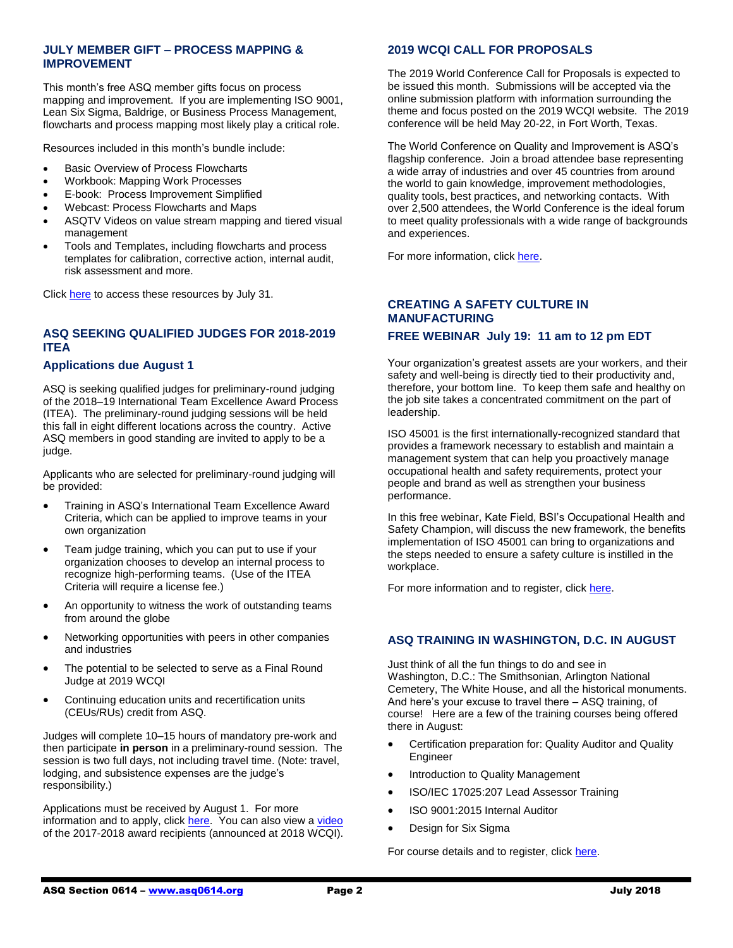# **JULY MEMBER GIFT – PROCESS MAPPING & IMPROVEMENT**

This month's free ASQ member gifts focus on process mapping and improvement. If you are implementing ISO 9001, Lean Six Sigma, Baldrige, or Business Process Management, flowcharts and process mapping most likely play a critical role.

Resources included in this month's bundle include:

- Basic Overview of Process Flowcharts
- Workbook: Mapping Work Processes
- E-book: Process Improvement Simplified
- Webcast: Process Flowcharts and Maps
- ASQTV Videos on value stream mapping and tiered visual management
- Tools and Templates, including flowcharts and process templates for calibration, corrective action, internal audit, risk assessment and more.

Click [here](http://asq.org/membership/members/gift/?utm_source=email) to access these resources by July 31.

# **ASQ SEEKING QUALIFIED JUDGES FOR 2018-2019 ITEA**

#### **Applications due August 1**

ASQ is seeking qualified judges for preliminary-round judging of the 2018–19 International Team Excellence Award Process (ITEA). The preliminary-round judging sessions will be held this fall in eight different locations across the country. Active ASQ members in good standing are invited to apply to be a judge.

Applicants who are selected for preliminary-round judging will be provided:

- Training in ASQ's International Team Excellence Award Criteria, which can be applied to improve teams in your own organization
- Team judge training, which you can put to use if your organization chooses to develop an internal process to recognize high-performing teams. (Use of the ITEA Criteria will require a license fee.)
- An opportunity to witness the work of outstanding teams from around the globe
- Networking opportunities with peers in other companies and industries
- The potential to be selected to serve as a Final Round Judge at 2019 WCQI
- Continuing education units and recertification units (CEUs/RUs) credit from ASQ.

Judges will complete 10–15 hours of mandatory pre-work and then participate **in person** in a preliminary-round session. The session is two full days, not including travel time. (Note: travel, lodging, and subsistence expenses are the judge's responsibility.)

Applications must be received by August 1. For more information and to apply, click [here.](https://secure.asq.org/team-excellence/judges-application-form.html) You can also view a [video](https://asq.org/programs/team-excellence) of the 2017-2018 award recipients (announced at 2018 WCQI).

# **2019 WCQI CALL FOR PROPOSALS**

The 2019 World Conference Call for Proposals is expected to be issued this month. Submissions will be accepted via the online submission platform with information surrounding the theme and focus posted on the 2019 WCQI website. The 2019 conference will be held May 20-22, in Fort Worth, Texas.

The World Conference on Quality and Improvement is ASQ's flagship conference. Join a broad attendee base representing a wide array of industries and over 45 countries from around the world to gain knowledge, improvement methodologies, quality tools, best practices, and networking contacts. With over 2,500 attendees, the World Conference is the ideal forum to meet quality professionals with a wide range of backgrounds and experiences.

For more information, clic[k here.](https://asq.org/conferences/wcqi?utm_source=email&utm_medium=email&utm_campaign=communications_fff_6.29.18)

# **CREATING A SAFETY CULTURE IN MANUFACTURING**

# **FREE WEBINAR July 19: 11 am to 12 pm EDT**

Your organization's greatest assets are your workers, and their safety and well-being is directly tied to their productivity and, therefore, your bottom line. To keep them safe and healthy on the job site takes a concentrated commitment on the part of leadership.

ISO 45001 is the first internationally-recognized standard that provides a framework necessary to establish and maintain a management system that can help you proactively manage occupational health and safety requirements, protect your people and brand as well as strengthen your business performance.

In this free webinar, Kate Field, BSI's Occupational Health and Safety Champion, will discuss the new framework, the benefits implementation of ISO 45001 can bring to organizations and the steps needed to ensure a safety culture is instilled in the workplace.

For more information and to register, clic[k here.](https://cc.readytalk.com/registration/#/?meeting=ai9p1cvhreco&campaign=d3ku7ugplr3v)

# **ASQ TRAINING IN WASHINGTON, D.C. IN AUGUST**

Just think of all the fun things to do and see in Washington, D.C.: The Smithsonian, Arlington National Cemetery, The White House, and all the historical monuments. And here's your excuse to travel there – ASQ training, of course! Here are a few of the training courses being offered there in August:

- Certification preparation for: Quality Auditor and Quality Engineer
- Introduction to Quality Management
- ISO/IEC 17025:207 Lead Assessor Training
- ISO 9001:2015 Internal Auditor
- Design for Six Sigma

For course details and to register, clic[k here.](https://asq.org/training/catalog?loc=dc-washington&utm_source=email&utm_medium=email&utm_campaign=marketing_training_pubcourses_061218)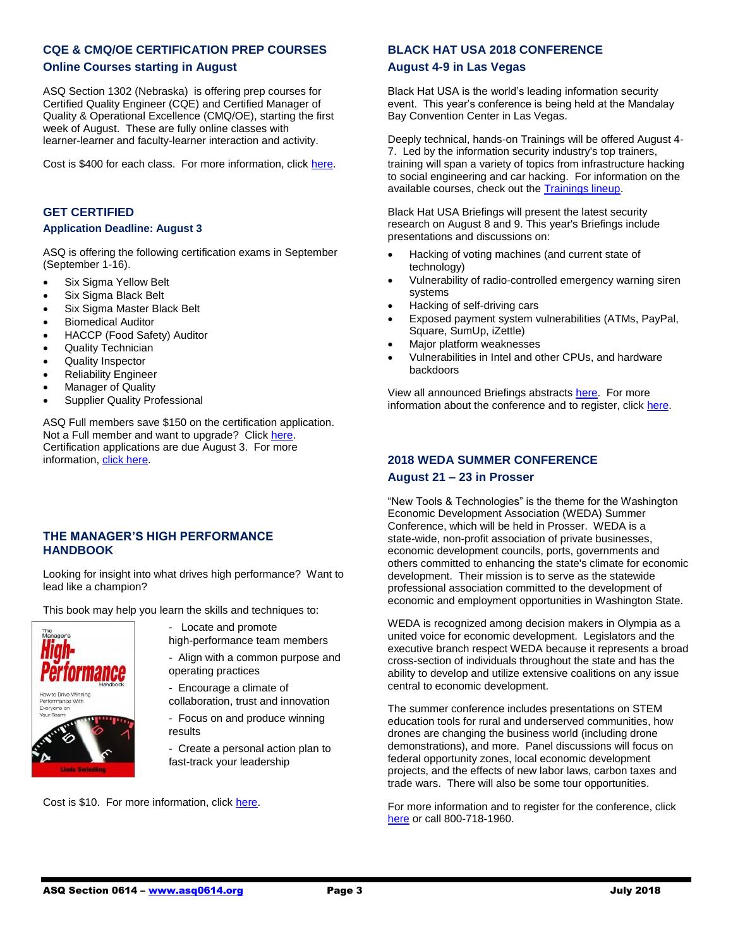## **CQE & CMQ/OE CERTIFICATION PREP COURSES**

#### **Online Courses starting in August**

ASQ Section 1302 (Nebraska) is offering prep courses for Certified Quality Engineer (CQE) and Certified Manager of Quality & Operational Excellence (CMQ/OE), starting the first week of August. These are fully online classes with learner-learner and faculty-learner interaction and activity.

Cost is \$400 for each class. For more information, click [here.](http://www.asq-1302.org/education-and-training/cqe-test-prep/)

#### **GET CERTIFIED**

#### **Application Deadline: August 3**

ASQ is offering the following certification exams in September (September 1-16).

- Six Sigma Yellow Belt
- Six Sigma Black Belt
- Six Sigma Master Black Belt
- Biomedical Auditor
- HACCP (Food Safety) Auditor
- Quality Technician
- Quality Inspector
- Reliability Engineer
- Manager of Quality
- Supplier Quality Professional

ASQ Full members save \$150 on the certification application. Not a Full member and want to upgrade? Clic[k here.](https://asq.org/membership/become-a-member?utm_source=email&utm_medium=email&utm_campaign=certification_computerbased_07102018) Certification applications are due August 3. For more information[, click here.](https://asq.org/cert)

# **THE MANAGER'S HIGH PERFORMANCE HANDBOOK**

Looking for insight into what drives high performance? Want to lead like a champion?

This book may help you learn the skills and techniques to:



- Locate and promote high-performance team members

- Align with a common purpose and operating practices

- Encourage a climate of collaboration, trust and innovation

- Focus on and produce winning results

- Create a personal action plan to fast-track your leadership

Cost is \$10. For more information, click [here.](https://www.walkthetalk.com/the-manager-s-high-performance-handbook.html?utm_source=Walk+the+Talk+Master+List&utm_campaign=7c0033f1a1-EMAIL_CAMPAIGN_2017_28_17_COPY_01&utm_medium=email&utm_term=0_46fccdf186-7c0033f1a1-86469245&mc_cid=7c0033f1a1&mc_eid=dba56c85a9)

# **BLACK HAT USA 2018 CONFERENCE**

#### **August 4-9 in Las Vegas**

Black Hat USA is the world's leading information security event. This year's conference is being held at the Mandalay Bay Convention Center in Las Vegas.

Deeply technical, hands-on Trainings will be offered August 4- 7. Led by the information security industry's top trainers, training will span a variety of topics from infrastructure hacking to social engineering and car hacking. For information on the available courses, check out th[e Trainings lineup.](https://www.blackhat.com/us-18/training/schedule/index.html)

Black Hat USA Briefings will present the latest security research on August 8 and 9. This year's Briefings include presentations and discussions on:

- Hacking of voting machines (and current state of technology)
- Vulnerability of radio-controlled emergency warning siren systems
- Hacking of self-driving cars
- Exposed payment system vulnerabilities (ATMs, PayPal, Square, SumUp, iZettle)
- Major platform weaknesses
- Vulnerabilities in Intel and other CPUs, and hardware backdoors

View all announced Briefings abstracts [here.](file:///G:/ASQ%202018/2018%20Newsletters/Jul%202018%20NEwsletter/blackhat.com/us-18/briefings/schedule/index.html) For more information about the conference and to register, click [here.](https://www.blackhat.com/us-18/arsenal/schedule/index.html)

# **2018 WEDA SUMMER CONFERENCE**

#### **August 21 – 23 in Prosser**

"New Tools & Technologies" is the theme for the Washington Economic Development Association (WEDA) Summer Conference, which will be held in Prosser. WEDA is a state-wide, non-profit association of private businesses, economic development councils, ports, governments and others committed to enhancing the state's climate for economic development. Their mission is to serve as the statewide professional association committed to the development of economic and employment opportunities in Washington State.

WEDA is recognized among decision makers in Olympia as a united voice for economic development. Legislators and the executive branch respect WEDA because it represents a broad cross-section of individuals throughout the state and has the ability to develop and utilize extensive coalitions on any issue central to economic development.

The summer conference includes presentations on STEM education tools for rural and underserved communities, how drones are changing the business world (including drone demonstrations), and more. Panel discussions will focus on federal opportunity zones, local economic development projects, and the effects of new labor laws, carbon taxes and trade wars. There will also be some tour opportunities.

For more information and to register for the conference, click [here](mailto:info@wedaonline.org) or call 800-718-1960.